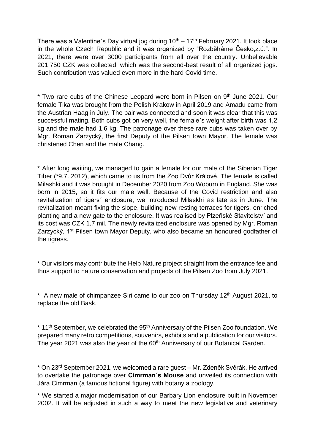There was a Valentine's Day virtual jog during  $10<sup>th</sup> - 17<sup>th</sup>$  February 2021. It took place in the whole Czech Republic and it was organized by "Rozběháme Česko,z.ú.". In 2021, there were over 3000 participants from all over the country. Unbelievable 201 750 CZK was collected, which was the second-best result of all organized jogs. Such contribution was valued even more in the hard Covid time.

\* Two rare cubs of the Chinese Leopard were born in Pilsen on 9<sup>th</sup> June 2021. Our female Tika was brought from the Polish Krakow in April 2019 and Amadu came from the Austrian Haag in July. The pair was connected and soon it was clear that this was successful mating. Both cubs got on very well, the female´s weight after birth was 1,2 kg and the male had 1,6 kg. The patronage over these rare cubs was taken over by Mgr. Roman Zarzycký, the first Deputy of the Pilsen town Mayor. The female was christened Chen and the male Chang.

\* After long waiting, we managed to gain a female for our male of the Siberian Tiger Tiber (\*9.7. 2012), which came to us from the Zoo Dvůr Králové. The female is called Milashki and it was brought in December 2020 from Zoo Woburn in England. She was born in 2015, so it fits our male well. Because of the Covid restriction and also revitalization of tigers´ enclosure, we introduced Milaskhi as late as in June. The revitalization meant fixing the slope, building new resting terraces for tigers, enriched planting and a new gate to the enclosure. It was realised by Plzeňské Stavitelství and its cost was CZK 1,7 mil. The newly revitalized enclosure was opened by Mgr. Roman Zarzycký, 1<sup>st</sup> Pilsen town Mayor Deputy, who also became an honoured godfather of the tigress.

\* Our visitors may contribute the Help Nature project straight from the entrance fee and thus support to nature conservation and projects of the Pilsen Zoo from July 2021.

\* A new male of chimpanzee Siri came to our zoo on Thursday  $12<sup>th</sup>$  August 2021, to replace the old Bask.

\* 11<sup>th</sup> September, we celebrated the 95<sup>th</sup> Anniversary of the Pilsen Zoo foundation. We prepared many retro competitions, souvenirs, exhibits and a publication for our visitors. The year 2021 was also the year of the 60<sup>th</sup> Anniversary of our Botanical Garden.

\* On 23rd September 2021, we welcomed a rare guest – Mr. Zdeněk Svěrák. He arrived to overtake the patronage over **Cimrman´s Mouse** and unveiled its connection with Jára Cimrman (a famous fictional figure) with botany a zoology.

\* We started a major modernisation of our Barbary Lion enclosure built in November 2002. It will be adjusted in such a way to meet the new legislative and veterinary